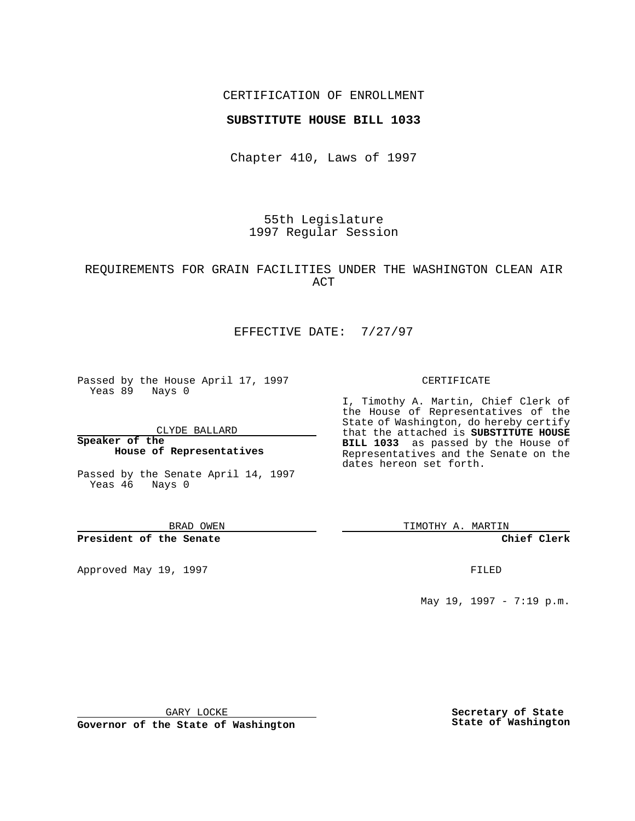#### CERTIFICATION OF ENROLLMENT

#### **SUBSTITUTE HOUSE BILL 1033**

Chapter 410, Laws of 1997

55th Legislature 1997 Regular Session

## REQUIREMENTS FOR GRAIN FACILITIES UNDER THE WASHINGTON CLEAN AIR ACT

## EFFECTIVE DATE: 7/27/97

Passed by the House April 17, 1997 Yeas 89 Nays 0

CLYDE BALLARD

**Speaker of the House of Representatives**

Passed by the Senate April 14, 1997 Yeas 46 Nays 0

BRAD OWEN

**President of the Senate**

Approved May 19, 1997 **FILED** 

#### CERTIFICATE

I, Timothy A. Martin, Chief Clerk of the House of Representatives of the State of Washington, do hereby certify that the attached is **SUBSTITUTE HOUSE BILL 1033** as passed by the House of Representatives and the Senate on the dates hereon set forth.

TIMOTHY A. MARTIN

**Chief Clerk**

May 19, 1997 - 7:19 p.m.

GARY LOCKE

**Governor of the State of Washington**

**Secretary of State State of Washington**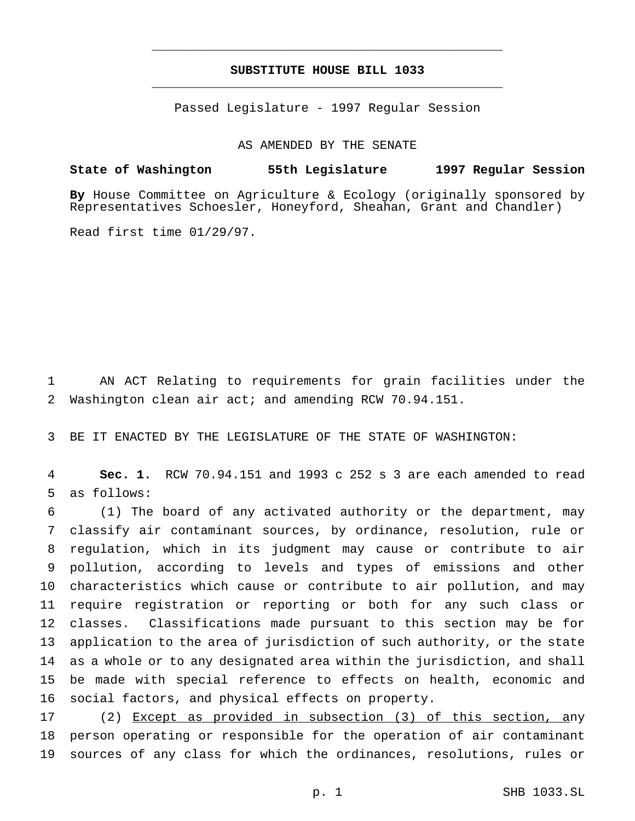## **SUBSTITUTE HOUSE BILL 1033** \_\_\_\_\_\_\_\_\_\_\_\_\_\_\_\_\_\_\_\_\_\_\_\_\_\_\_\_\_\_\_\_\_\_\_\_\_\_\_\_\_\_\_\_\_\_\_

\_\_\_\_\_\_\_\_\_\_\_\_\_\_\_\_\_\_\_\_\_\_\_\_\_\_\_\_\_\_\_\_\_\_\_\_\_\_\_\_\_\_\_\_\_\_\_

Passed Legislature - 1997 Regular Session

AS AMENDED BY THE SENATE

# **State of Washington 55th Legislature 1997 Regular Session**

**By** House Committee on Agriculture & Ecology (originally sponsored by Representatives Schoesler, Honeyford, Sheahan, Grant and Chandler)

Read first time 01/29/97.

 AN ACT Relating to requirements for grain facilities under the Washington clean air act; and amending RCW 70.94.151.

BE IT ENACTED BY THE LEGISLATURE OF THE STATE OF WASHINGTON:

 **Sec. 1.** RCW 70.94.151 and 1993 c 252 s 3 are each amended to read as follows:

 (1) The board of any activated authority or the department, may classify air contaminant sources, by ordinance, resolution, rule or regulation, which in its judgment may cause or contribute to air pollution, according to levels and types of emissions and other characteristics which cause or contribute to air pollution, and may require registration or reporting or both for any such class or classes. Classifications made pursuant to this section may be for application to the area of jurisdiction of such authority, or the state as a whole or to any designated area within the jurisdiction, and shall be made with special reference to effects on health, economic and social factors, and physical effects on property.

 (2) Except as provided in subsection (3) of this section, any person operating or responsible for the operation of air contaminant sources of any class for which the ordinances, resolutions, rules or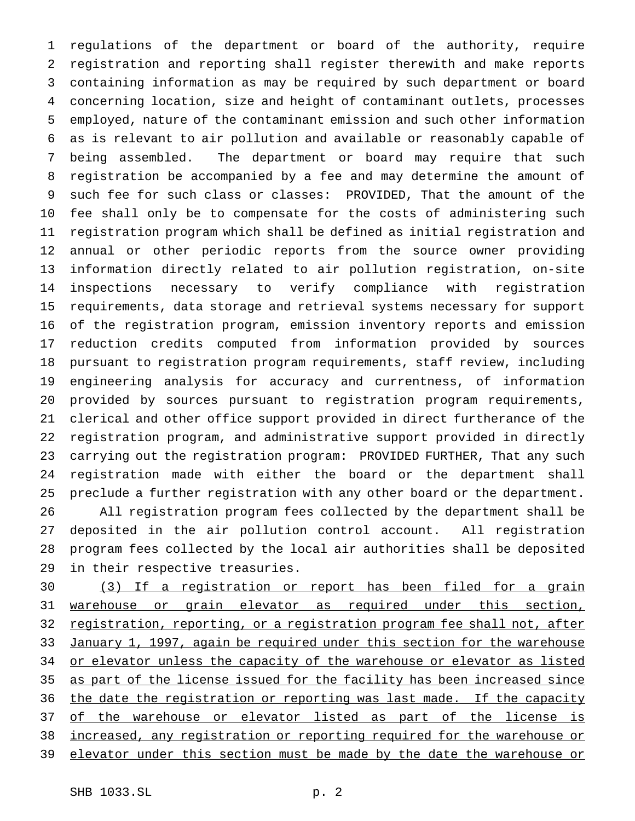regulations of the department or board of the authority, require registration and reporting shall register therewith and make reports containing information as may be required by such department or board concerning location, size and height of contaminant outlets, processes employed, nature of the contaminant emission and such other information as is relevant to air pollution and available or reasonably capable of being assembled. The department or board may require that such registration be accompanied by a fee and may determine the amount of such fee for such class or classes: PROVIDED, That the amount of the fee shall only be to compensate for the costs of administering such registration program which shall be defined as initial registration and annual or other periodic reports from the source owner providing information directly related to air pollution registration, on-site inspections necessary to verify compliance with registration requirements, data storage and retrieval systems necessary for support of the registration program, emission inventory reports and emission reduction credits computed from information provided by sources pursuant to registration program requirements, staff review, including engineering analysis for accuracy and currentness, of information provided by sources pursuant to registration program requirements, clerical and other office support provided in direct furtherance of the registration program, and administrative support provided in directly carrying out the registration program: PROVIDED FURTHER, That any such registration made with either the board or the department shall preclude a further registration with any other board or the department. All registration program fees collected by the department shall be deposited in the air pollution control account. All registration program fees collected by the local air authorities shall be deposited in their respective treasuries.

 (3) If a registration or report has been filed for a grain warehouse or grain elevator as required under this section, 32 registration, reporting, or a registration program fee shall not, after 33 January 1, 1997, again be required under this section for the warehouse 34 or elevator unless the capacity of the warehouse or elevator as listed as part of the license issued for the facility has been increased since 36 the date the registration or reporting was last made. If the capacity 37 of the warehouse or elevator listed as part of the license is increased, any registration or reporting required for the warehouse or 39 elevator under this section must be made by the date the warehouse or